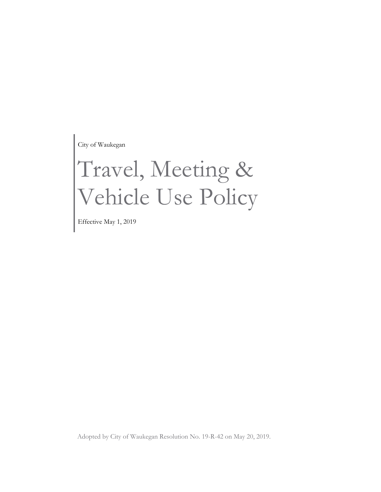City of Waukegan

# Travel, Meeting & Vehicle Use Policy

Effective May 1, 2019

Adopted by City of Waukegan Resolution No. 19-R-42 on May 20, 2019.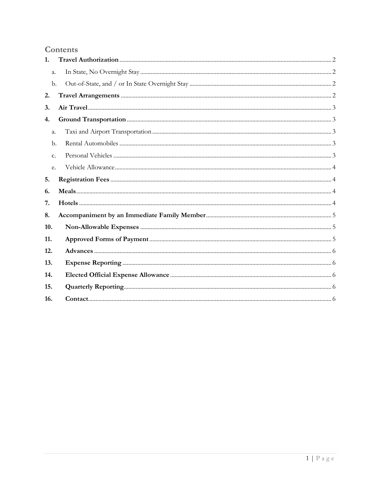# Contents

| $\mathbf{1}$   |  |
|----------------|--|
| a.             |  |
| $\mathbf{b}$ . |  |
| 2.             |  |
| 3.             |  |
| 4.             |  |
| a.             |  |
| b.             |  |
| c.             |  |
| e.             |  |
| 5.             |  |
| 6.             |  |
| 7.             |  |
| 8.             |  |
| 10.            |  |
| 11.            |  |
| 12.            |  |
| 13.            |  |
| 14.            |  |
| 15.            |  |
| 16.            |  |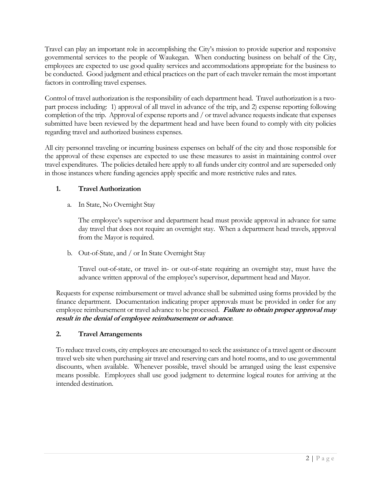Travel can play an important role in accomplishing the City's mission to provide superior and responsive governmental services to the people of Waukegan. When conducting business on behalf of the City, employees are expected to use good quality services and accommodations appropriate for the business to be conducted. Good judgment and ethical practices on the part of each traveler remain the most important factors in controlling travel expenses.

Control of travel authorization is the responsibility of each department head. Travel authorization is a twopart process including: 1) approval of all travel in advance of the trip, and 2) expense reporting following completion of the trip. Approval of expense reports and / or travel advance requests indicate that expenses submitted have been reviewed by the department head and have been found to comply with city policies regarding travel and authorized business expenses.

All city personnel traveling or incurring business expenses on behalf of the city and those responsible for the approval of these expenses are expected to use these measures to assist in maintaining control over travel expenditures. The policies detailed here apply to all funds under city control and are superseded only in those instances where funding agencies apply specific and more restrictive rules and rates.

#### <span id="page-2-1"></span><span id="page-2-0"></span>**1. Travel Authorization**

a. In State, No Overnight Stay

The employee's supervisor and department head must provide approval in advance for same day travel that does not require an overnight stay. When a department head travels, approval from the Mayor is required.

<span id="page-2-2"></span>b. Out-of-State, and / or In State Overnight Stay

Travel out-of-state, or travel in- or out-of-state requiring an overnight stay, must have the advance written approval of the employee's supervisor, department head and Mayor.

Requests for expense reimbursement or travel advance shall be submitted using forms provided by the finance department. Documentation indicating proper approvals must be provided in order for any employee reimbursement or travel advance to be processed. **Failure to obtain proper approval may result in the denial of employee reimbursement or advance**.

# <span id="page-2-3"></span>**2. Travel Arrangements**

To reduce travel costs, city employees are encouraged to seek the assistance of a travel agent or discount travel web site when purchasing air travel and reserving cars and hotel rooms, and to use governmental discounts, when available. Whenever possible, travel should be arranged using the least expensive means possible. Employees shall use good judgment to determine logical routes for arriving at the intended destination.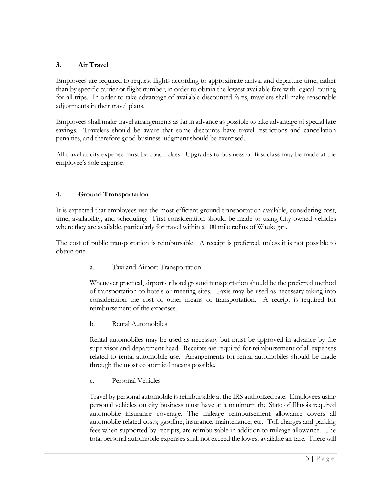#### <span id="page-3-0"></span>**3. Air Travel**

Employees are required to request flights according to approximate arrival and departure time, rather than by specific carrier or flight number, in order to obtain the lowest available fare with logical routing for all trips. In order to take advantage of available discounted fares, travelers shall make reasonable adjustments in their travel plans.

Employees shall make travel arrangements as far in advance as possible to take advantage of special fare savings. Travelers should be aware that some discounts have travel restrictions and cancellation penalties, and therefore good business judgment should be exercised.

All travel at city expense must be coach class. Upgrades to business or first class may be made at the employee's sole expense.

#### <span id="page-3-1"></span>**4. Ground Transportation**

It is expected that employees use the most efficient ground transportation available, considering cost, time, availability, and scheduling. First consideration should be made to using City-owned vehicles where they are available, particularly for travel within a 100 mile radius of Waukegan.

<span id="page-3-2"></span>The cost of public transportation is reimbursable. A receipt is preferred, unless it is not possible to obtain one.

a. Taxi and Airport Transportation

Whenever practical, airport or hotel ground transportation should be the preferred method of transportation to hotels or meeting sites. Taxis may be used as necessary taking into consideration the cost of other means of transportation. A receipt is required for reimbursement of the expenses.

<span id="page-3-3"></span>b. Rental Automobiles

Rental automobiles may be used as necessary but must be approved in advance by the supervisor and department head. Receipts are required for reimbursement of all expenses related to rental automobile use. Arrangements for rental automobiles should be made through the most economical means possible.

<span id="page-3-4"></span>c. Personal Vehicles

Travel by personal automobile isreimbursable at the IRS authorized rate. Employees using personal vehicles on city business must have at a minimum the State of Illinois required automobile insurance coverage. The mileage reimbursement allowance covers all automobile related costs; gasoline, insurance, maintenance, etc. Toll charges and parking fees when supported by receipts, are reimbursable in addition to mileage allowance. The total personal automobile expenses shall not exceed the lowest available air fare. There will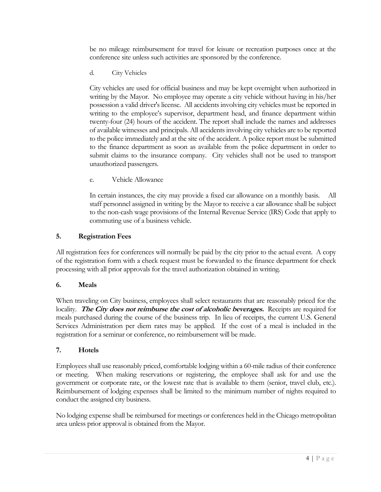be no mileage reimbursement for travel for leisure or recreation purposes once at the conference site unless such activities are sponsored by the conference.

d. City Vehicles

City vehicles are used for official business and may be kept overnight when authorized in writing by the Mayor. No employee may operate a city vehicle without having in his/her possession a valid driver's license. All accidents involving city vehicles must be reported in writing to the employee's supervisor, department head, and finance department within twenty-four (24) hours of the accident. The report shall include the names and addresses of available witnesses and principals. All accidents involving city vehicles are to be reported to the police immediately and at the site of the accident. A police report must be submitted to the finance department as soon as available from the police department in order to submit claims to the insurance company. City vehicles shall not be used to transport unauthorized passengers.

<span id="page-4-0"></span>e. Vehicle Allowance

In certain instances, the city may provide a fixed car allowance on a monthly basis. All staff personnel assigned in writing by the Mayor to receive a car allowance shall be subject to the non-cash wage provisions of the Internal Revenue Service (IRS) Code that apply to commuting use of a business vehicle.

#### <span id="page-4-1"></span>**5. Registration Fees**

All registration fees for conferences will normally be paid by the city prior to the actual event. A copy of the registration form with a check request must be forwarded to the finance department for check processing with all prior approvals for the travel authorization obtained in writing.

#### <span id="page-4-2"></span>**6. Meals**

When traveling on City business, employees shall select restaurants that are reasonably priced for the locality. **The City does not reimburse the cost of alcoholic beverages.** Receipts are required for meals purchased during the course of the business trip. In lieu of receipts, the current U.S. General Services Administration per diem rates may be applied. If the cost of a meal is included in the registration for a seminar or conference, no reimbursement will be made.

# <span id="page-4-3"></span>**7. Hotels**

Employees shall use reasonably priced, comfortable lodging within a 60-mile radius of their conference or meeting. When making reservations or registering, the employee shall ask for and use the government or corporate rate, or the lowest rate that is available to them (senior, travel club, etc.). Reimbursement of lodging expenses shall be limited to the minimum number of nights required to conduct the assigned city business.

No lodging expense shall be reimbursed for meetings or conferences held in the Chicago metropolitan area unless prior approval is obtained from the Mayor.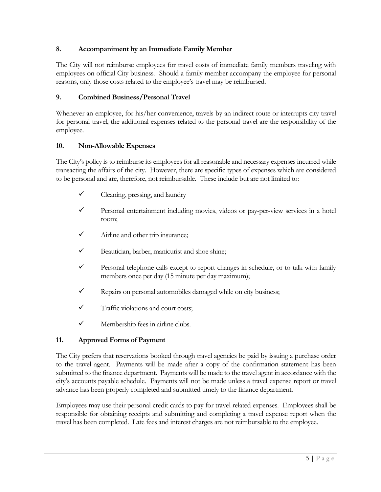#### <span id="page-5-0"></span>**8. Accompaniment by an Immediate Family Member**

The City will not reimburse employees for travel costs of immediate family members traveling with employees on official City business. Should a family member accompany the employee for personal reasons, only those costs related to the employee's travel may be reimbursed.

#### **9. Combined Business/Personal Travel**

Whenever an employee, for his/her convenience, travels by an indirect route or interrupts city travel for personal travel, the additional expenses related to the personal travel are the responsibility of the employee.

#### <span id="page-5-1"></span>**10. Non-Allowable Expenses**

The City's policy is to reimburse its employees for all reasonable and necessary expenses incurred while transacting the affairs of the city. However, there are specific types of expenses which are considered to be personal and are, therefore, not reimbursable. These include but are not limited to:

- Cleaning, pressing, and laundry
- $\checkmark$  Personal entertainment including movies, videos or pay-per-view services in a hotel room;
- $\checkmark$  Airline and other trip insurance;
- $\checkmark$  Beautician, barber, manicurist and shoe shine;
- $\checkmark$  Personal telephone calls except to report changes in schedule, or to talk with family members once per day (15 minute per day maximum);
- $\checkmark$  Repairs on personal automobiles damaged while on city business;
- $\checkmark$  Traffic violations and court costs;
- $\checkmark$  Membership fees in airline clubs.

#### <span id="page-5-2"></span>**11. Approved Forms of Payment**

The City prefers that reservations booked through travel agencies be paid by issuing a purchase order to the travel agent. Payments will be made after a copy of the confirmation statement has been submitted to the finance department. Payments will be made to the travel agent in accordance with the city's accounts payable schedule. Payments will not be made unless a travel expense report or travel advance has been properly completed and submitted timely to the finance department.

Employees may use their personal credit cards to pay for travel related expenses. Employees shall be responsible for obtaining receipts and submitting and completing a travel expense report when the travel has been completed. Late fees and interest charges are not reimbursable to the employee.